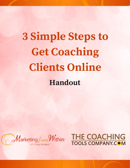# **3 Simple Steps to Get Coaching Clients Online Handout**



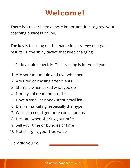## **Welcome!**

[There has never been a more important time to grow your](http://marketingfromwithin.com/about-cindy/) coaching business online.

The key is focusing on the marketing strategy that gets results vs. the shiny tactics that keep changing.

Let's do a quick check in. This training is for you if you:

- Are spread too thin and overwhelmed 1.
- 2. Are tired of chasing after clients
- Stumble when asked what you do 3.
- 4. Not crystal clear about niche
- 5. Have a small or nonexistent email list
- 6. Dislike marketing, especially the hype
- [Wish you could get more consultations](http://marketingfromwithin.com/about-cindy/) 7.
- 8. Hesitate when sharing your offer
- 9. Sell your time or bundles of time
- 10. Not charging your true value

[How did you do?](http://marketingfromwithin.com/about-cindy/)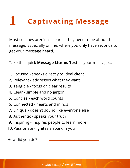#### **Captivating Message 1**

Most coaches aren't as clear as they need to be about their [message. Especially online, where you only have seconds to](http://www.talkwithcindy.com/) get your message heard.

Take this quick **Message Litmus Test**. Is your message...

- Focused speaks directly to ideal client 1.
- 2. Relevant addresses what they want
- 3. Tangible focus on clear results
- 4. Clear simple and no jargon
- 5. Concise each word counts
- 6. Connected hearts and minds
- [Unique doesn't sound like everyone else](http://www.talkwithcindy.com/) 7.
- 8. Authentic speaks your truth
- Inspiring inspires people to learn more 9.
- 10. Passionate ignites a spark in you

[How did you do?](http://marketingfromwithin.com/about-cindy/)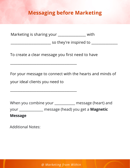#### **[Messaging before Marketing](http://www.talkwithcindy.com/)**

Marketing is sharing your \_\_\_\_\_\_\_\_\_\_\_\_\_\_\_\_ with

[\\_\\_\\_\\_\\_\\_\\_\\_\\_\\_\\_\\_\\_\\_\\_\\_\\_\\_\\_\\_\\_\\_\\_ so they're inspired to \\_\\_\\_\\_\\_\\_\\_\\_\\_\\_\\_\\_\\_\\_\\_](http://www.talkwithcindy.com/)

[To create a clear message you first need to have](http://www.talkwithcindy.com/)

[For your message to connect with the hearts and minds of](http://www.talkwithcindy.com/)

your ideal clients you need to

\_\_\_\_\_\_\_\_\_\_\_\_\_\_\_\_\_\_\_\_\_\_\_\_\_\_\_\_\_\_\_\_\_\_\_\_\_\_

\_\_\_\_\_\_\_\_\_\_\_\_\_\_\_\_\_\_\_\_\_\_\_\_\_\_\_\_\_\_\_\_\_\_\_\_\_\_

[When you combine your \\_\\_\\_\\_\\_\\_\\_\\_\\_\\_\\_\\_ message \(heart\) and](http://marketingfromwithin.com/about-cindy/) your \_\_\_\_\_\_\_\_\_\_\_\_\_\_ message (head) you get a **Magnetic Message**

[Additional Notes:](http://marketingfromwithin.com/about-cindy/)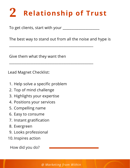### **Relationship of Trust 2**

To get clients, start with your \_\_\_\_\_\_\_\_\_\_\_\_\_\_\_\_\_\_\_\_\_

[The best way to stand out from all the noise and hype is](http://www.talkwithcindy.com/)

\_\_\_\_\_\_\_\_\_\_\_\_\_\_\_\_\_\_\_\_\_\_\_\_\_\_\_\_\_\_\_\_\_\_\_\_\_\_\_\_\_\_\_\_\_\_\_\_

\_\_\_\_\_\_\_\_\_\_\_\_\_\_\_\_\_\_\_\_\_\_\_\_\_\_\_\_\_\_\_\_\_\_\_\_\_\_\_\_\_\_\_\_\_\_\_\_

Give them what they want then

Lead Magnet Checklist:

- 1. [Help solve a specific problem](http://www.talkwithcindy.com/)
- 2. Top of mind challenge
- 3. Highlights your expertise
- 4. Positions your services
- 5. Compelling name
- 6. Easy to consume
- 7. Instant gratification
- 8. Evergreen
- 9. Looks professional
- 10. Inspires action

How did you do?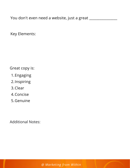[You don't even need a website, just a great \\_\\_\\_\\_\\_\\_\\_\\_\\_\\_\\_\\_\\_\\_\\_\\_](http://www.talkwithcindy.com/)

Key Elements:

[Great copy is:](http://www.talkwithcindy.com/)

- 1. Engaging
- 2. Inspiring
- 3. Clear
- 4. Concise
- 5. Genuine

[Additional Notes:](http://marketingfromwithin.com/about-cindy/)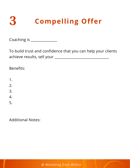

Coaching is \_\_\_\_\_\_\_\_\_\_\_\_\_\_\_\_\_\_

[To build trust and confidence that you can help your clients](http://www.talkwithcindy.com/) achieve results, sell your \_\_\_\_\_\_\_\_\_\_\_\_\_\_\_\_\_\_\_\_\_\_\_\_\_\_\_\_\_\_\_

Benefits:

- 1.
- 
- 2.
- 3.
- 4.
- 5.

Additional Notes: